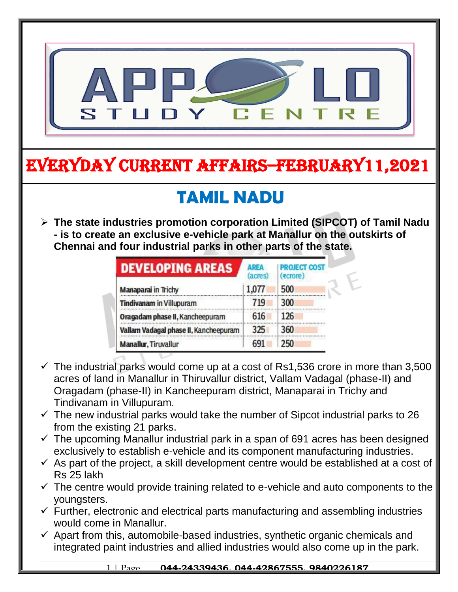

# EVERYDAY CURRENT AFFAIRS–FEBRUARY11,2021

-

#### **TAMIL NADU**  $\overline{\phantom{a}}$

 **The state industries promotion corporation Limited (SIPCOT) of Tamil Nadu - is to create an exclusive e-vehicle park at Manallur on the outskirts of Chennai and four industrial parks in other parts of the state.**

| <b>DEVELOPING AREAS</b>               | <b>AREA</b><br>(acres) | <b>ROJECT COST</b><br>₹crore) |
|---------------------------------------|------------------------|-------------------------------|
| Manaparai in Trichy                   | 1,077                  | 500                           |
| <b>Tindivanam in Villupuram</b>       | 719                    | 300                           |
| Oragadam phase II, Kancheepuram       | 616                    | 126                           |
| Vallam Vadagal phase II, Kancheepuram | 325                    | 360                           |
| <b>Manallur, Tiruvallur</b>           | 691                    | 250                           |

- $\checkmark$  The industrial parks would come up at a cost of Rs1,536 crore in more than 3,500 acres of land in Manallur in Thiruvallur district, Vallam Vadagal (phase-II) and Oragadam (phase-II) in Kancheepuram district, Manaparai in Trichy and Tindivanam in Villupuram.
- $\checkmark$  The new industrial parks would take the number of Sipcot industrial parks to 26 from the existing 21 parks.
- $\checkmark$  The upcoming Manallur industrial park in a span of 691 acres has been designed exclusively to establish e-vehicle and its component manufacturing industries.
- $\checkmark$  As part of the project, a skill development centre would be established at a cost of Rs 25 lakh
- $\checkmark$  The centre would provide training related to e-vehicle and auto components to the youngsters.
- $\checkmark$  Further, electronic and electrical parts manufacturing and assembling industries would come in Manallur.
- $\checkmark$  Apart from this, automobile-based industries, synthetic organic chemicals and integrated paint industries and allied industries would also come up in the park.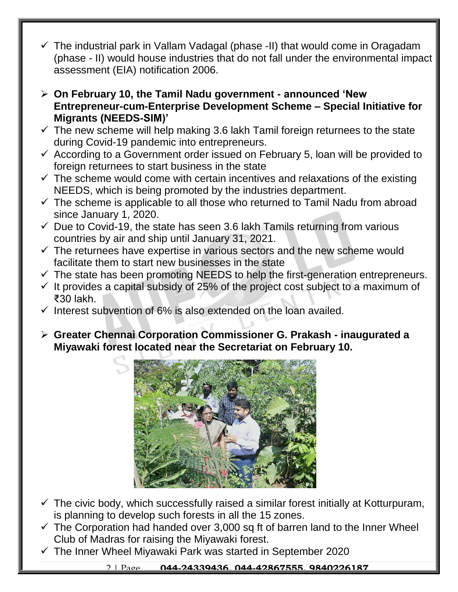- $\checkmark$  The industrial park in Vallam Vadagal (phase -II) that would come in Oragadam (phase - II) would house industries that do not fall under the environmental impact assessment (EIA) notification 2006.
- **On February 10, the Tamil Nadu government - announced 'New Entrepreneur-cum-Enterprise Development Scheme – Special Initiative for Migrants (NEEDS-SIM)'**
- $\checkmark$  The new scheme will help making 3.6 lakh Tamil foreign returnees to the state during Covid-19 pandemic into entrepreneurs.
- $\checkmark$  According to a Government order issued on February 5, loan will be provided to foreign returnees to start business in the state
- $\checkmark$  The scheme would come with certain incentives and relaxations of the existing NEEDS, which is being promoted by the industries department.
- $\checkmark$  The scheme is applicable to all those who returned to Tamil Nadu from abroad since January 1, 2020.
- $\checkmark$  Due to Covid-19, the state has seen 3.6 lakh Tamils returning from various countries by air and ship until January 31, 2021.
- $\checkmark$  The returnees have expertise in various sectors and the new scheme would facilitate them to start new businesses in the state
- $\checkmark$  The state has been promoting NEEDS to help the first-generation entrepreneurs.
- $\checkmark$  It provides a capital subsidy of 25% of the project cost subject to a maximum of ₹30 lakh.
- $\checkmark$  Interest subvention of 6% is also extended on the loan availed.
- **Greater Chennai Corporation Commissioner G. Prakash - inaugurated a Miyawaki forest located near the Secretariat on February 10.**



- $\checkmark$  The civic body, which successfully raised a similar forest initially at Kotturpuram, is planning to develop such forests in all the 15 zones.
- $\checkmark$  The Corporation had handed over 3,000 sq ft of barren land to the Inner Wheel Club of Madras for raising the Miyawaki forest.
- $\checkmark$  The Inner Wheel Miyawaki Park was started in September 2020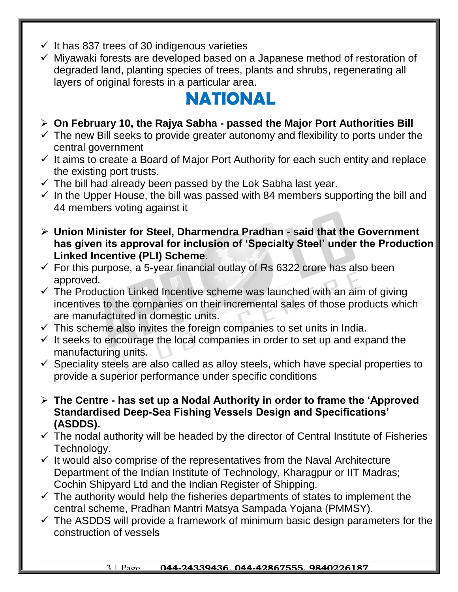- $\checkmark$  It has 837 trees of 30 indigenous varieties
- $\checkmark$  Mivawaki forests are developed based on a Japanese method of restoration of degraded land, planting species of trees, plants and shrubs, regenerating all layers of original forests in a particular area.

# **NATIONAL**

#### **On February 10, the Rajya Sabha - passed the Major Port Authorities Bill**

- $\checkmark$  The new Bill seeks to provide greater autonomy and flexibility to ports under the central government
- $\checkmark$  It aims to create a Board of Major Port Authority for each such entity and replace the existing port trusts.
- $\checkmark$  The bill had already been passed by the Lok Sabha last year.
- $\checkmark$  In the Upper House, the bill was passed with 84 members supporting the bill and 44 members voting against it
- **Union Minister for Steel, Dharmendra Pradhan - said that the Government has given its approval for inclusion of 'Specialty Steel' under the Production Linked Incentive (PLI) Scheme.**
- $\checkmark$  For this purpose, a 5-year financial outlay of Rs 6322 crore has also been approved.
- $\checkmark$  The Production Linked Incentive scheme was launched with an aim of giving incentives to the companies on their incremental sales of those products which are manufactured in domestic units.
- $\checkmark$  This scheme also invites the foreign companies to set units in India.
- $\checkmark$  It seeks to encourage the local companies in order to set up and expand the manufacturing units.
- $\checkmark$  Speciality steels are also called as alloy steels, which have special properties to provide a superior performance under specific conditions
- **The Centre - has set up a Nodal Authority in order to frame the 'Approved Standardised Deep-Sea Fishing Vessels Design and Specifications' (ASDDS).**
- $\checkmark$  The nodal authority will be headed by the director of Central Institute of Fisheries Technology.
- $\checkmark$  It would also comprise of the representatives from the Naval Architecture Department of the Indian Institute of Technology, Kharagpur or IIT Madras; Cochin Shipyard Ltd and the Indian Register of Shipping.
- $\checkmark$  The authority would help the fisheries departments of states to implement the central scheme, Pradhan Mantri Matsya Sampada Yojana (PMMSY).
- $\checkmark$  The ASDDS will provide a framework of minimum basic design parameters for the construction of vessels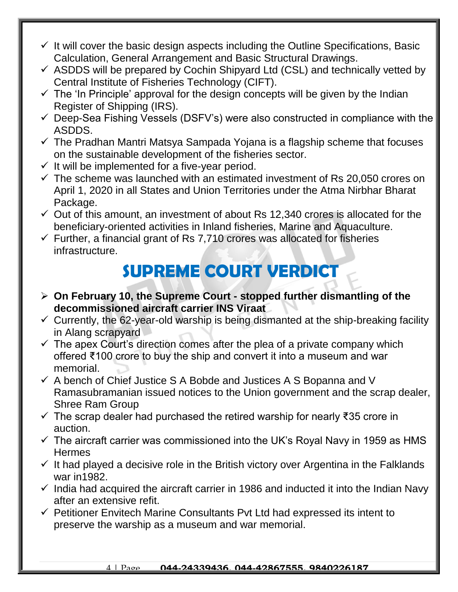- $\checkmark$  It will cover the basic design aspects including the Outline Specifications, Basic Calculation, General Arrangement and Basic Structural Drawings.
- $\checkmark$  ASDDS will be prepared by Cochin Shipyard Ltd (CSL) and technically vetted by Central Institute of Fisheries Technology (CIFT).
- $\checkmark$  The 'In Principle' approval for the design concepts will be given by the Indian Register of Shipping (IRS).
- $\checkmark$  Deep-Sea Fishing Vessels (DSFV's) were also constructed in compliance with the ASDDS.
- $\checkmark$  The Pradhan Mantri Matsya Sampada Yojana is a flagship scheme that focuses on the sustainable development of the fisheries sector.
- $\checkmark$  It will be implemented for a five-year period.
- $\checkmark$  The scheme was launched with an estimated investment of Rs 20,050 crores on April 1, 2020 in all States and Union Territories under the Atma Nirbhar Bharat Package.
- $\checkmark$  Out of this amount, an investment of about Rs 12,340 crores is allocated for the beneficiary-oriented activities in Inland fisheries, Marine and Aquaculture.
- $\checkmark$  Further, a financial grant of Rs 7,710 crores was allocated for fisheries infrastructure.

# **SUPREME COURT VERDICT**

- **On February 10, the Supreme Court - stopped further dismantling of the decommissioned aircraft carrier INS Viraat**
- $\checkmark$  Currently, the 62-year-old warship is being dismanted at the ship-breaking facility in Alang scrapyard
- $\checkmark$  The apex Court's direction comes after the plea of a private company which offered ₹100 crore to buy the ship and convert it into a museum and war memorial.
- $\checkmark$  A bench of Chief Justice S A Bobde and Justices A S Bopanna and V Ramasubramanian issued notices to the Union government and the scrap dealer, Shree Ram Group
- $\checkmark$  The scrap dealer had purchased the retired warship for nearly ₹35 crore in auction.
- $\checkmark$  The aircraft carrier was commissioned into the UK's Royal Navy in 1959 as HMS **Hermes**
- $\checkmark$  It had played a decisive role in the British victory over Argentina in the Falklands war in1982.
- $\checkmark$  India had acquired the aircraft carrier in 1986 and inducted it into the Indian Navy after an extensive refit.
- $\checkmark$  Petitioner Envitech Marine Consultants Pvt Ltd had expressed its intent to preserve the warship as a museum and war memorial.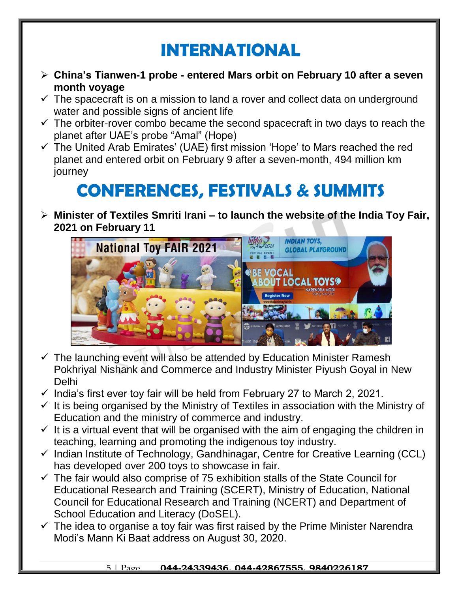### **INTERNATIONAL**

- **China's Tianwen-1 probe - entered Mars orbit on February 10 after a seven month voyage**
- $\checkmark$  The spacecraft is on a mission to land a rover and collect data on underground water and possible signs of ancient life
- $\checkmark$  The orbiter-rover combo became the second spacecraft in two days to reach the planet after UAE's probe "Amal" (Hope)
- $\checkmark$  The United Arab Emirates' (UAE) first mission 'Hope' to Mars reached the red planet and entered orbit on February 9 after a seven-month, 494 million km journey

## **CONFERENCES, FESTIVALS & SUMMITS**

 **Minister of Textiles Smriti Irani – to launch the website of the India Toy Fair, 2021 on February 11**



- $\checkmark$  The launching event will also be attended by Education Minister Ramesh Pokhriyal Nishank and Commerce and Industry Minister Piyush Goyal in New Delhi
- $\checkmark$  India's first ever toy fair will be held from February 27 to March 2, 2021.
- $\checkmark$  It is being organised by the Ministry of Textiles in association with the Ministry of Education and the ministry of commerce and industry.
- $\checkmark$  It is a virtual event that will be organised with the aim of engaging the children in teaching, learning and promoting the indigenous toy industry.
- $\checkmark$  Indian Institute of Technology, Gandhinagar, Centre for Creative Learning (CCL) has developed over 200 toys to showcase in fair.
- $\checkmark$  The fair would also comprise of 75 exhibition stalls of the State Council for Educational Research and Training (SCERT), Ministry of Education, National Council for Educational Research and Training (NCERT) and Department of School Education and Literacy (DoSEL).
- $\checkmark$  The idea to organise a toy fair was first raised by the Prime Minister Narendra Modi's Mann Ki Baat address on August 30, 2020.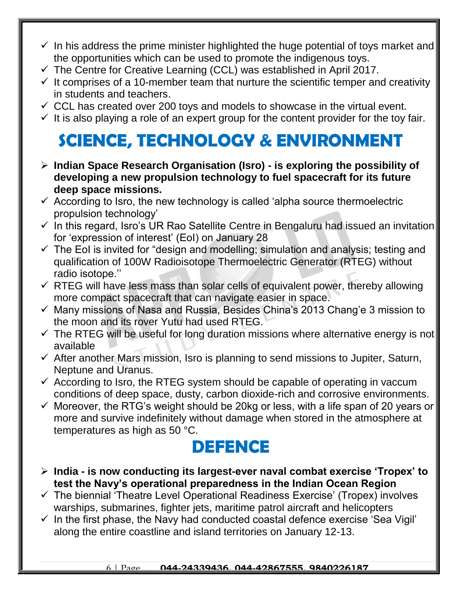- $\checkmark$  In his address the prime minister highlighted the huge potential of toys market and the opportunities which can be used to promote the indigenous toys.
- $\checkmark$  The Centre for Creative Learning (CCL) was established in April 2017.
- $\checkmark$  It comprises of a 10-member team that nurture the scientific temper and creativity in students and teachers.
- $\checkmark$  CCL has created over 200 toys and models to showcase in the virtual event.
- $\checkmark$  It is also playing a role of an expert group for the content provider for the toy fair.

# **SCIENCE, TECHNOLOGY & ENVIRONMENT**

- **Indian Space Research Organisation (Isro) - is exploring the possibility of developing a new propulsion technology to fuel spacecraft for its future deep space missions.**
- $\checkmark$  According to Isro, the new technology is called 'alpha source thermoelectric propulsion technology'
- $\checkmark$  In this regard, Isro's UR Rao Satellite Centre in Bengaluru had issued an invitation for 'expression of interest' (EoI) on January 28
- $\checkmark$  The EoI is invited for "design and modelling; simulation and analysis; testing and qualification of 100W Radioisotope Thermoelectric Generator (RTEG) without radio isotope.''
- $\checkmark$  RTEG will have less mass than solar cells of equivalent power, thereby allowing more compact spacecraft that can navigate easier in space.
- $\checkmark$  Many missions of Nasa and Russia, Besides China's 2013 Chang'e 3 mission to the moon and its rover Yutu had used RTEG.
- $\checkmark$  The RTEG will be useful for long duration missions where alternative energy is not available
- $\checkmark$  After another Mars mission, Isro is planning to send missions to Jupiter, Saturn, Neptune and Uranus.
- $\checkmark$  According to Isro, the RTEG system should be capable of operating in vaccum conditions of deep space, dusty, carbon dioxide-rich and corrosive environments.
- $\checkmark$  Moreover, the RTG's weight should be 20kg or less, with a life span of 20 years or more and survive indefinitely without damage when stored in the atmosphere at temperatures as high as 50 °C.

#### **DEFENCE**

- **India - is now conducting its largest-ever naval combat exercise 'Tropex' to test the Navy's operational preparedness in the Indian Ocean Region**
- $\checkmark$  The biennial 'Theatre Level Operational Readiness Exercise' (Tropex) involves warships, submarines, fighter jets, maritime patrol aircraft and helicopters
- $\checkmark$  In the first phase, the Navy had conducted coastal defence exercise 'Sea Vigil' along the entire coastline and island territories on January 12-13.